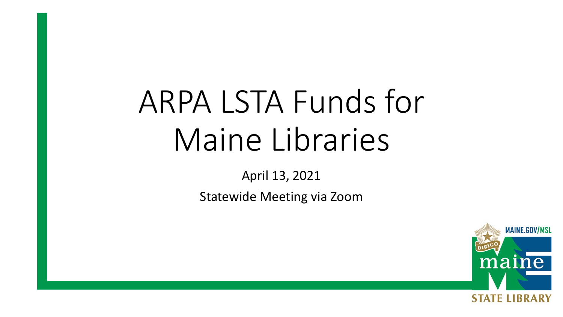# ARPA LSTA Funds for Maine Libraries

April 13, 2021

Statewide Meeting via Zoom

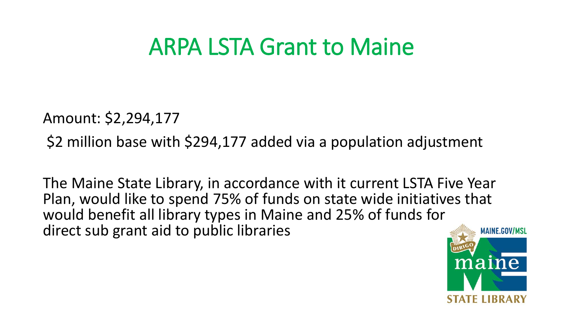### ARPA LSTA Grant to Maine

Amount: \$2,294,177

\$2 million base with \$294,177 added via a population adjustment

The Maine State Library, in accordance with it current LSTA Five Year Plan, would like to spend 75% of funds on state wide initiatives that would benefit all library types in Maine and 25% of funds for direct sub grant aid to public libraries

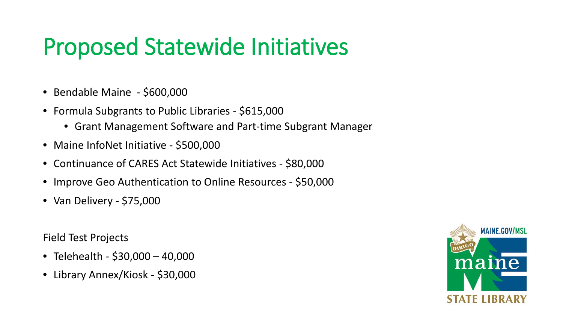### Proposed Statewide Initiatives

- Bendable Maine \$600,000
- Formula Subgrants to Public Libraries \$615,000
	- Grant Management Software and Part-time Subgrant Manager
- Maine InfoNet Initiative \$500,000
- Continuance of CARES Act Statewide Initiatives \$80,000
- Improve Geo Authentication to Online Resources \$50,000
- Van Delivery \$75,000

Field Test Projects

- Telehealth \$30,000 40,000
- Library Annex/Kiosk \$30,000

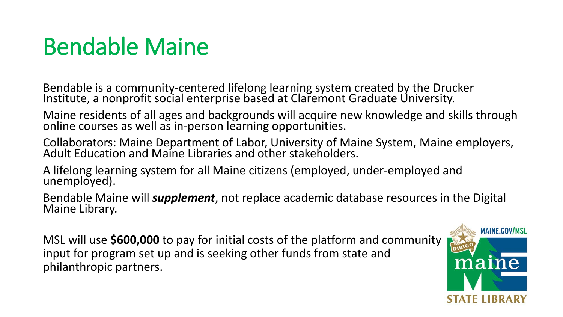### Bendable Maine

Bendable is a community-centered lifelong learning system created by the Drucker Institute, a nonprofit social enterprise based at Claremont Graduate University.

Maine residents of all ages and backgrounds will acquire new knowledge and skills through online courses as well as in-person learning opportunities.

Collaborators: Maine Department of Labor, University of Maine System, Maine employers, Adult Education and Maine Libraries and other stakeholders.

A lifelong learning system for all Maine citizens (employed, under-employed and unemployed).

Bendable Maine will *supplement*, not replace academic database resources in the Digital<br>Maine Library.

MSL will use **\$600,000** to pay for initial costs of the platform and community input for program set up and is seeking other funds from state and philanthropic partners.

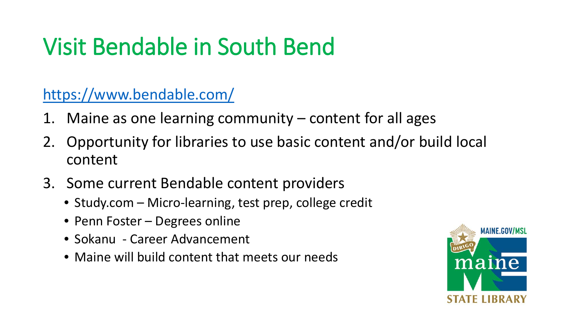# Visit Bendable in South Bend

<https://www.bendable.com/>

- Maine as one learning community  $-$  content for all ages
- 2. Opportunity for libraries to use basic content and/or build local content
- 3. Some current Bendable content providers
	- Study.com Micro-learning, test prep, college credit
	- Penn Foster Degrees online
	- Sokanu Career Advancement
	- Maine will build content that meets our needs

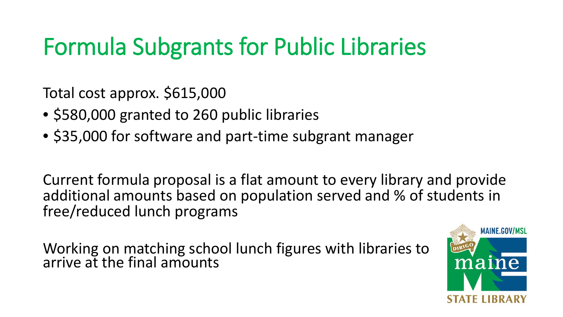# Formula Subgrants for Public Libraries

Total cost approx. \$615,000

- \$580,000 granted to 260 public libraries
- \$35,000 for software and part-time subgrant manager

Current formula proposal is a flat amount to every library and provide additional amounts based on population served and % of students in free/reduced lunch programs

Working on matching school lunch figures with libraries to arrive at the final amounts

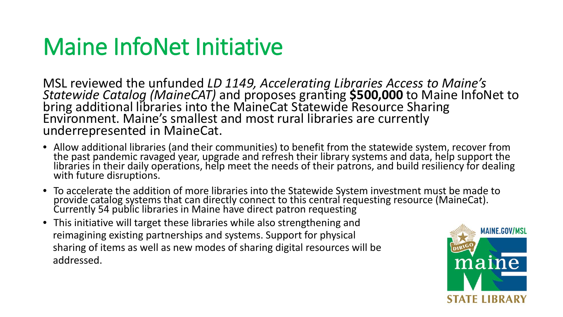### Maine InfoNet Initiative

MSL reviewed the unfunded *LD 1149, Accelerating Libraries Access to Maine's* Statewide Catalog (MaineCAT) and proposes granting **\$500,000** to Maine InfoNet to bring additional libraries into the MaineCat Statewide Resource Sharing Environment. Maine's smallest and most rural libraries are currently underrepresented in MaineCat.

- Allow additional libraries (and their communities) to benefit from the statewide system, recover from the past pandemic ravaged year, upgrade and refresh their library systems and data, help support the libraries in their daily operations, help meet the needs of their patrons, and build resiliency for dealing<br>with future disruptions.
- To accelerate the addition of more libraries into the Statewide System investment must be made to provide catalog systems that can directly connect to this central requesting resource (MaineCat).<br>Currently 54 public libraries in Maine have direct patron requesting
- This initiative will target these libraries while also strengthening and reimagining existing partnerships and systems. Support for physical sharing of items as well as new modes of sharing digital resources will be addressed.

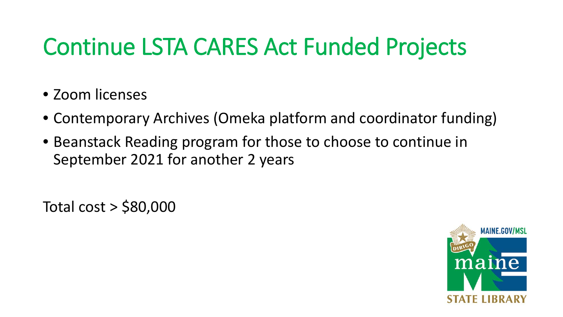# Continue LSTA CARES Act Funded Projects

- Zoom licenses
- Contemporary Archives (Omeka platform and coordinator funding)
- Beanstack Reading program for those to choose to continue in September 2021 for another 2 years

Total cost > \$80,000

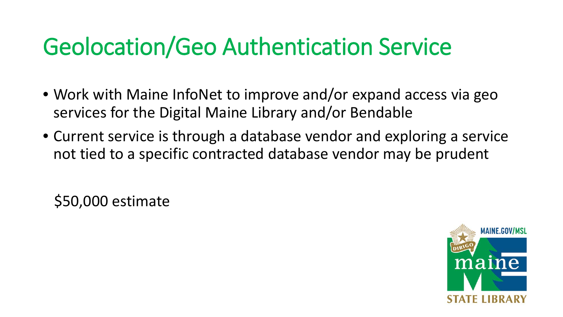### Geolocation/Geo Authentication Service

- Work with Maine InfoNet to improve and/or expand access via geo services for the Digital Maine Library and/or Bendable
- Current service is through a database vendor and exploring a service not tied to a specific contracted database vendor may be prudent

\$50,000 estimate

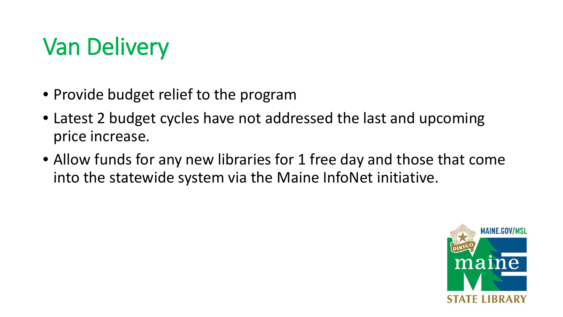# Van Delivery

- Provide budget relief to the program
- Latest 2 budget cycles have not addressed the last and upcoming price increase.
- Allow funds for any new libraries for 1 free day and those that come into the statewide system via the Maine InfoNet initiative.

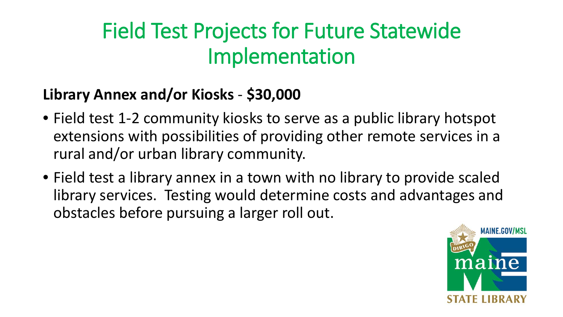### Field Test Projects for Future Statewide Implementation

#### **Library Annex and/or Kiosks** - **\$30,000**

- Field test 1-2 community kiosks to serve as a public library hotspot extensions with possibilities of providing other remote services in a rural and/or urban library community.
- Field test a library annex in a town with no library to provide scaled library services. Testing would determine costs and advantages and obstacles before pursuing a larger roll out.

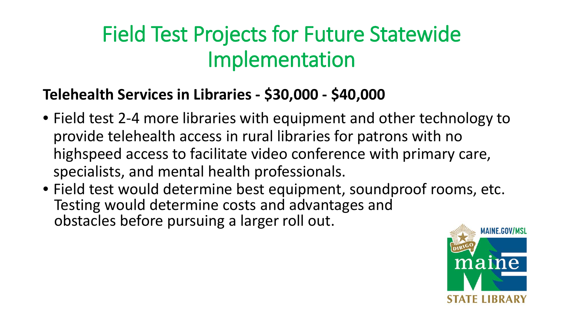### Field Test Projects for Future Statewide Implementation

#### **Telehealth Services in Libraries - \$30,000 - \$40,000**

- Field test 2-4 more libraries with equipment and other technology to provide telehealth access in rural libraries for patrons with no highspeed access to facilitate video conference with primary care, specialists, and mental health professionals.
- Field test would determine best equipment, soundproof rooms, etc. Testing would determine costs and advantages and obstacles before pursuing a larger roll out.

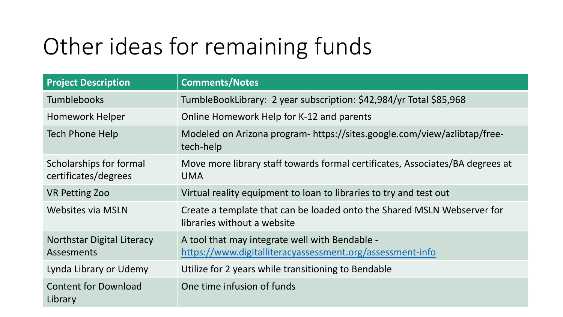# Other ideas for remaining funds

| <b>Project Description</b>                             | <b>Comments/Notes</b>                                                                                       |
|--------------------------------------------------------|-------------------------------------------------------------------------------------------------------------|
| <b>Tumblebooks</b>                                     | TumbleBookLibrary: 2 year subscription: \$42,984/yr Total \$85,968                                          |
| Homework Helper                                        | Online Homework Help for K-12 and parents                                                                   |
| Tech Phone Help                                        | Modeled on Arizona program-https://sites.google.com/view/azlibtap/free-<br>tech-help                        |
| Scholarships for formal<br>certificates/degrees        | Move more library staff towards formal certificates, Associates/BA degrees at<br><b>UMA</b>                 |
| <b>VR Petting Zoo</b>                                  | Virtual reality equipment to loan to libraries to try and test out                                          |
| <b>Websites via MSLN</b>                               | Create a template that can be loaded onto the Shared MSLN Webserver for<br>libraries without a website      |
| <b>Northstar Digital Literacy</b><br><b>Assesments</b> | A tool that may integrate well with Bendable -<br>https://www.digitalliteracyassessment.org/assessment-info |
| Lynda Library or Udemy                                 | Utilize for 2 years while transitioning to Bendable                                                         |
| <b>Content for Download</b><br>Library                 | One time infusion of funds                                                                                  |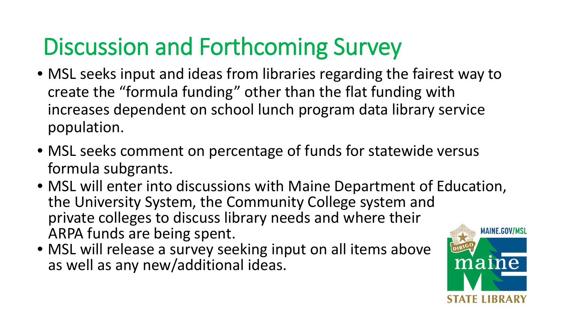# Discussion and Forthcoming Survey

- MSL seeks input and ideas from libraries regarding the fairest way to create the "formula funding" other than the flat funding with increases dependent on school lunch program data library service population.
- MSL seeks comment on percentage of funds for statewide versus formula subgrants.
- MSL will enter into discussions with Maine Department of Education, the University System, the Community College system and private colleges to discuss library needs and where their ARPA funds are being spent.
- MSL will release a survey seeking input on all items above as well as any new/additional ideas.

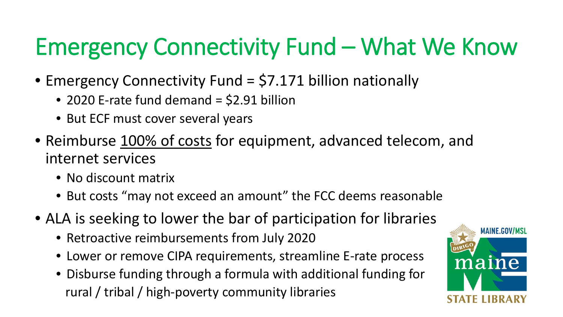# Emergency Connectivity Fund – What We Know

- Emergency Connectivity Fund = \$7.171 billion nationally
	- 2020 E-rate fund demand = \$2.91 billion
	- But ECF must cover several years
- Reimburse 100% of costs for equipment, advanced telecom, and internet services
	- No discount matrix
	- But costs "may not exceed an amount" the FCC deems reasonable
- ALA is seeking to lower the bar of participation for libraries
	- Retroactive reimbursements from July 2020
	- Lower or remove CIPA requirements, streamline E-rate process
	- Disburse funding through a formula with additional funding for rural / tribal / high-poverty community libraries

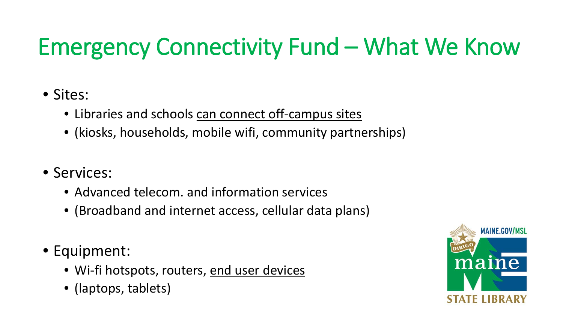# Emergency Connectivity Fund – What We Know

#### • Sites:

- Libraries and schools can connect off-campus sites
- (kiosks, households, mobile wifi, community partnerships)
- Services:
	- Advanced telecom. and information services
	- (Broadband and internet access, cellular data plans)
- Equipment:
	- Wi-fi hotspots, routers, end user devices
	- (laptops, tablets)

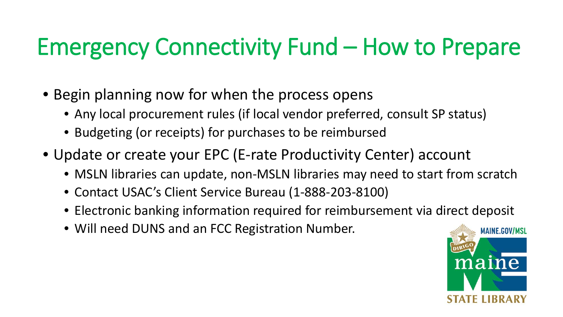# Emergency Connectivity Fund – How to Prepare

- Begin planning now for when the process opens
	- Any local procurement rules (if local vendor preferred, consult SP status)
	- Budgeting (or receipts) for purchases to be reimbursed
- Update or create your EPC (E-rate Productivity Center) account
	- MSLN libraries can update, non-MSLN libraries may need to start from scratch
	- Contact USAC's Client Service Bureau (1-888-203-8100)
	- Electronic banking information required for reimbursement via direct deposit
	- Will need DUNS and an FCC Registration Number.